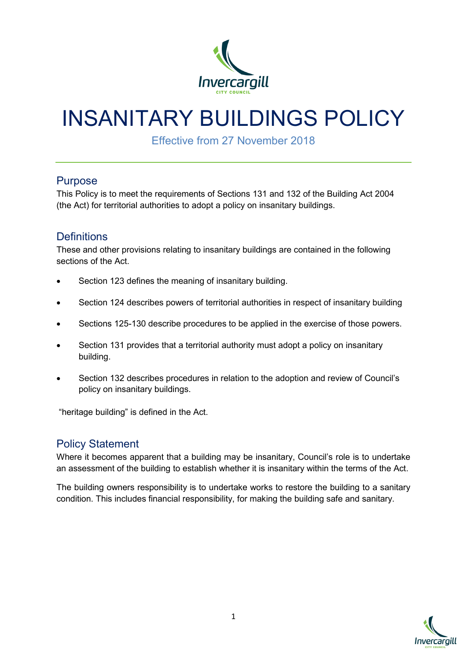

# INSANITARY BUILDINGS POLICY

Effective from 27 November 2018

#### Purpose

This Policy is to meet the requirements of Sections 131 and 132 of the Building Act 2004 (the Act) for territorial authorities to adopt a policy on insanitary buildings.

## **Definitions**

These and other provisions relating to insanitary buildings are contained in the following sections of the Act.

- Section 123 defines the meaning of insanitary building.
- Section 124 describes powers of territorial authorities in respect of insanitary building
- Sections 125-130 describe procedures to be applied in the exercise of those powers.
- Section 131 provides that a territorial authority must adopt a policy on insanitary building.
- Section 132 describes procedures in relation to the adoption and review of Council's policy on insanitary buildings.

"heritage building" is defined in the Act.

## Policy Statement

Where it becomes apparent that a building may be insanitary, Council's role is to undertake an assessment of the building to establish whether it is insanitary within the terms of the Act.

The building owners responsibility is to undertake works to restore the building to a sanitary condition. This includes financial responsibility, for making the building safe and sanitary.

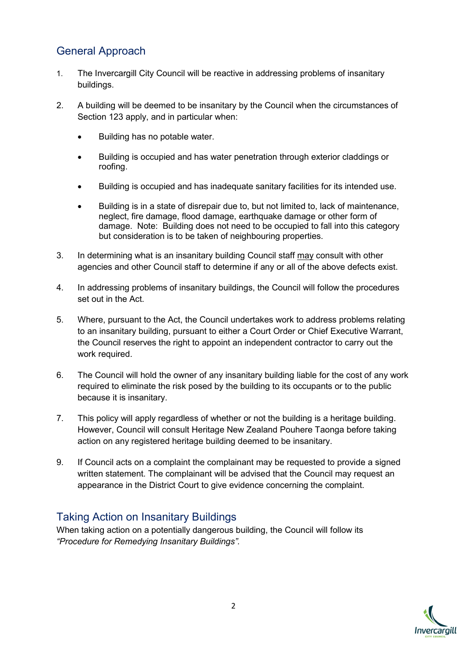## General Approach

- 1. The Invercargill City Council will be reactive in addressing problems of insanitary buildings.
- 2. A building will be deemed to be insanitary by the Council when the circumstances of Section 123 apply, and in particular when:
	- Building has no potable water.
	- Building is occupied and has water penetration through exterior claddings or roofing.
	- Building is occupied and has inadequate sanitary facilities for its intended use.
	- Building is in a state of disrepair due to, but not limited to, lack of maintenance, neglect, fire damage, flood damage, earthquake damage or other form of damage. Note: Building does not need to be occupied to fall into this category but consideration is to be taken of neighbouring properties.
- 3. In determining what is an insanitary building Council staff may consult with other agencies and other Council staff to determine if any or all of the above defects exist.
- 4. In addressing problems of insanitary buildings, the Council will follow the procedures set out in the Act.
- 5. Where, pursuant to the Act, the Council undertakes work to address problems relating to an insanitary building, pursuant to either a Court Order or Chief Executive Warrant, the Council reserves the right to appoint an independent contractor to carry out the work required.
- 6. The Council will hold the owner of any insanitary building liable for the cost of any work required to eliminate the risk posed by the building to its occupants or to the public because it is insanitary.
- 7. This policy will apply regardless of whether or not the building is a heritage building. However, Council will consult Heritage New Zealand Pouhere Taonga before taking action on any registered heritage building deemed to be insanitary.
- 9. If Council acts on a complaint the complainant may be requested to provide a signed written statement. The complainant will be advised that the Council may request an appearance in the District Court to give evidence concerning the complaint.

## Taking Action on Insanitary Buildings

When taking action on a potentially dangerous building, the Council will follow its *"Procedure for Remedying Insanitary Buildings".*

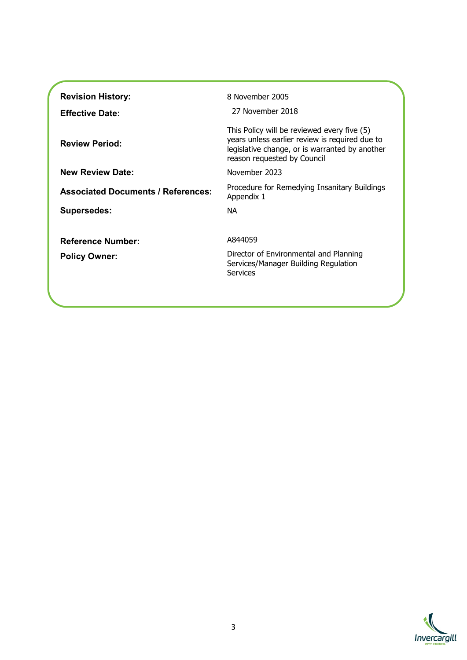| <b>Revision History:</b><br><b>Effective Date:</b> | 8 November 2005<br>27 November 2018                                                                                                                                            |
|----------------------------------------------------|--------------------------------------------------------------------------------------------------------------------------------------------------------------------------------|
| <b>Review Period:</b>                              | This Policy will be reviewed every five (5)<br>years unless earlier review is required due to<br>legislative change, or is warranted by another<br>reason requested by Council |
| <b>New Review Date:</b>                            | November 2023                                                                                                                                                                  |
| <b>Associated Documents / References:</b>          | Procedure for Remedying Insanitary Buildings<br>Appendix 1                                                                                                                     |
| <b>Supersedes:</b>                                 | <b>NA</b>                                                                                                                                                                      |
| <b>Reference Number:</b><br><b>Policy Owner:</b>   | A844059<br>Director of Environmental and Planning<br>Services/Manager Building Regulation<br>Services                                                                          |